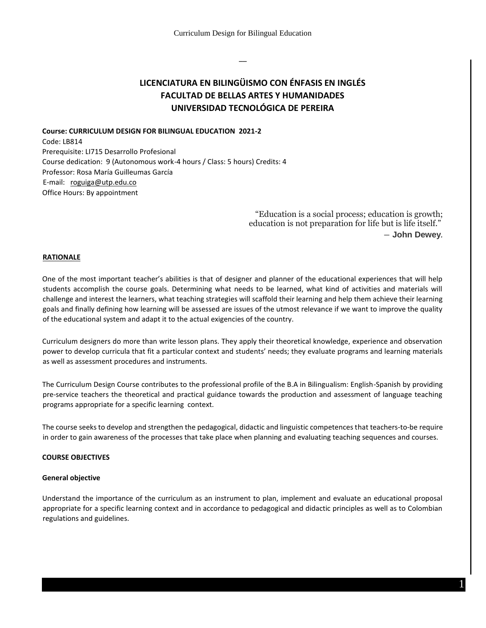––

# **LICENCIATURA EN BILINGÜISMO CON ÉNFASIS EN INGLÉS FACULTAD DE BELLAS ARTES Y HUMANIDADES UNIVERSIDAD TECNOLÓGICA DE PEREIRA**

**Course: CURRICULUM DESIGN FOR BILINGUAL EDUCATION 2021-2** Code: LB814 Prerequisite: LI715 Desarrollo Profesional Course dedication: 9 (Autonomous work-4 hours / Class: 5 hours) Credits: 4 Professor: Rosa María Guilleumas García E-mail: roguiga@utp.edu.co Office Hours: By appointment

> "Education is a social process; education is growth; education is not preparation for life but is life itself." ― **John Dewey***.*

## **RATIONALE**

One of the most important teacher's abilities is that of designer and planner of the educational experiences that will help students accomplish the course goals. Determining what needs to be learned, what kind of activities and materials will challenge and interest the learners, what teaching strategies will scaffold their learning and help them achieve their learning goals and finally defining how learning will be assessed are issues of the utmost relevance if we want to improve the quality of the educational system and adapt it to the actual exigencies of the country.

Curriculum designers do more than write lesson plans. They apply their theoretical knowledge, experience and observation power to develop curricula that fit a particular context and students' needs; they evaluate programs and learning materials as well as assessment procedures and instruments.

The Curriculum Design Course contributes to the professional profile of the B.A in Bilingualism: English-Spanish by providing pre-service teachers the theoretical and practical guidance towards the production and assessment of language teaching programs appropriate for a specific learning context.

The course seeks to develop and strengthen the pedagogical, didactic and linguistic competences that teachers-to-be require in order to gain awareness of the processes that take place when planning and evaluating teaching sequences and courses.

## **COURSE OBJECTIVES**

#### **General objective**

Understand the importance of the curriculum as an instrument to plan, implement and evaluate an educational proposal appropriate for a specific learning context and in accordance to pedagogical and didactic principles as well as to Colombian regulations and guidelines.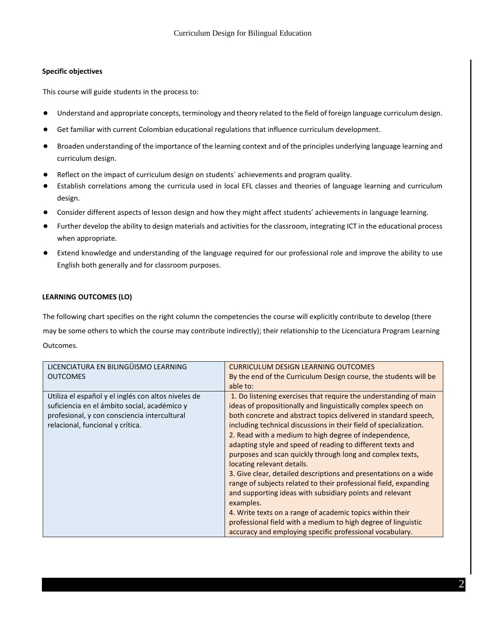# **Specific objectives**

This course will guide students in the process to:

- Understand and appropriate concepts, terminology and theory related to the field of foreign language curriculum design.
- Get familiar with current Colombian educational regulations that influence curriculum development.
- Broaden understanding of the importance of the learning context and of the principles underlying language learning and curriculum design.
- Reflect on the impact of curriculum design on students' achievements and program quality.
- Establish correlations among the curricula used in local EFL classes and theories of language learning and curriculum design.
- Consider different aspects of lesson design and how they might affect students' achievements in language learning.
- Further develop the ability to design materials and activities for the classroom, integrating ICT in the educational process when appropriate.
- Extend knowledge and understanding of the language required for our professional role and improve the ability to use English both generally and for classroom purposes.

# **LEARNING OUTCOMES (LO)**

The following chart specifies on the right column the competencies the course will explicitly contribute to develop (there may be some others to which the course may contribute indirectly); their relationship to the Licenciatura Program Learning Outcomes.

| LICENCIATURA EN BILINGÜISMO LEARNING                                                                                                                                                    | <b>CURRICULUM DESIGN LEARNING OUTCOMES</b>                                                                                                                                                                                                                                |
|-----------------------------------------------------------------------------------------------------------------------------------------------------------------------------------------|---------------------------------------------------------------------------------------------------------------------------------------------------------------------------------------------------------------------------------------------------------------------------|
| <b>OUTCOMES</b>                                                                                                                                                                         | By the end of the Curriculum Design course, the students will be                                                                                                                                                                                                          |
|                                                                                                                                                                                         | able to:                                                                                                                                                                                                                                                                  |
| Utiliza el español y el inglés con altos niveles de<br>suficiencia en el ámbito social, académico y<br>profesional, y con consciencia intercultural<br>relacional, funcional y crítica. | 1. Do listening exercises that require the understanding of main<br>ideas of propositionally and linguistically complex speech on<br>both concrete and abstract topics delivered in standard speech,<br>including technical discussions in their field of specialization. |
|                                                                                                                                                                                         | 2. Read with a medium to high degree of independence,<br>adapting style and speed of reading to different texts and<br>purposes and scan quickly through long and complex texts,<br>locating relevant details.                                                            |
|                                                                                                                                                                                         | 3. Give clear, detailed descriptions and presentations on a wide<br>range of subjects related to their professional field, expanding<br>and supporting ideas with subsidiary points and relevant<br>examples.                                                             |
|                                                                                                                                                                                         | 4. Write texts on a range of academic topics within their<br>professional field with a medium to high degree of linguistic<br>accuracy and employing specific professional vocabulary.                                                                                    |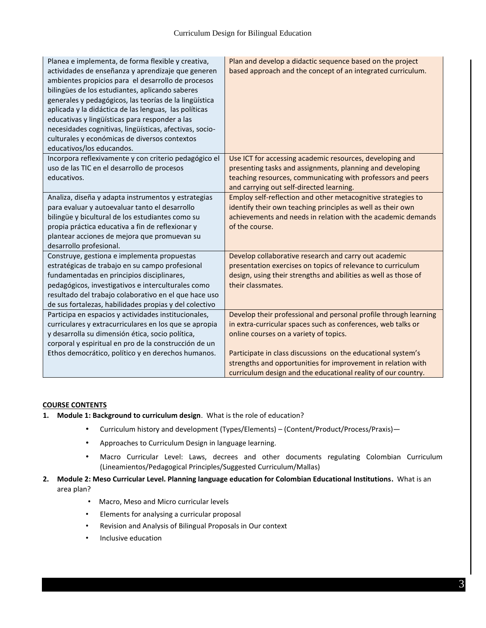| Planea e implementa, de forma flexible y creativa,<br>actividades de enseñanza y aprendizaje que generen<br>ambientes propicios para el desarrollo de procesos<br>bilingües de los estudiantes, aplicando saberes<br>generales y pedagógicos, las teorías de la lingüística<br>aplicada y la didáctica de las lenguas, las políticas<br>educativas y lingüísticas para responder a las<br>necesidades cognitivas, lingüísticas, afectivas, socio-<br>culturales y económicas de diversos contextos<br>educativos/los educandos. | Plan and develop a didactic sequence based on the project<br>based approach and the concept of an integrated curriculum.                                                                                                                                                                                                                                                    |
|---------------------------------------------------------------------------------------------------------------------------------------------------------------------------------------------------------------------------------------------------------------------------------------------------------------------------------------------------------------------------------------------------------------------------------------------------------------------------------------------------------------------------------|-----------------------------------------------------------------------------------------------------------------------------------------------------------------------------------------------------------------------------------------------------------------------------------------------------------------------------------------------------------------------------|
| Incorpora reflexivamente y con criterio pedagógico el<br>uso de las TIC en el desarrollo de procesos<br>educativos.                                                                                                                                                                                                                                                                                                                                                                                                             | Use ICT for accessing academic resources, developing and<br>presenting tasks and assignments, planning and developing<br>teaching resources, communicating with professors and peers<br>and carrying out self-directed learning.                                                                                                                                            |
| Analiza, diseña y adapta instrumentos y estrategias<br>para evaluar y autoevaluar tanto el desarrollo<br>bilingüe y bicultural de los estudiantes como su<br>propia práctica educativa a fin de reflexionar y<br>plantear acciones de mejora que promuevan su<br>desarrollo profesional.                                                                                                                                                                                                                                        | Employ self-reflection and other metacognitive strategies to<br>identify their own teaching principles as well as their own<br>achievements and needs in relation with the academic demands<br>of the course.                                                                                                                                                               |
| Construye, gestiona e implementa propuestas<br>estratégicas de trabajo en su campo profesional<br>fundamentadas en principios disciplinares,<br>pedagógicos, investigativos e interculturales como<br>resultado del trabajo colaborativo en el que hace uso<br>de sus fortalezas, habilidades propias y del colectivo                                                                                                                                                                                                           | Develop collaborative research and carry out academic<br>presentation exercises on topics of relevance to curriculum<br>design, using their strengths and abilities as well as those of<br>their classmates.                                                                                                                                                                |
| Participa en espacios y actividades institucionales,<br>curriculares y extracurriculares en los que se apropia<br>y desarrolla su dimensión ética, socio política,<br>corporal y espiritual en pro de la construcción de un<br>Ethos democrático, político y en derechos humanos.                                                                                                                                                                                                                                               | Develop their professional and personal profile through learning<br>in extra-curricular spaces such as conferences, web talks or<br>online courses on a variety of topics.<br>Participate in class discussions on the educational system's<br>strengths and opportunities for improvement in relation with<br>curriculum design and the educational reality of our country. |

# **COURSE CONTENTS**

- **1. Module 1: Background to curriculum design**. What is the role of education?
	- Curriculum history and development (Types/Elements) (Content/Product/Process/Praxis)—
	- Approaches to Curriculum Design in language learning.
	- Macro Curricular Level: Laws, decrees and other documents regulating Colombian Curriculum (Lineamientos/Pedagogical Principles/Suggested Curriculum/Mallas)
- **2. Module 2: Meso Curricular Level. Planning language education for Colombian Educational Institutions.** What is an area plan?
	- Macro, Meso and Micro curricular levels
	- Elements for analysing a curricular proposal
	- Revision and Analysis of Bilingual Proposals in Our context
	- Inclusive education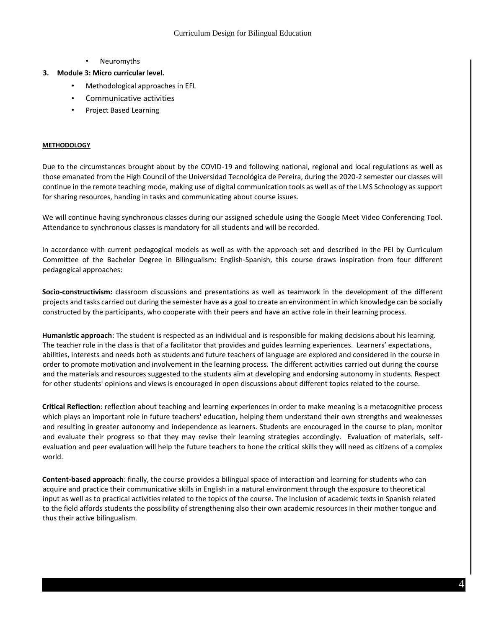• Neuromyths

# **3. Module 3: Micro curricular level.**

- Methodological approaches in EFL
- Communicative activities
- Project Based Learning

#### **METHODOLOGY**

Due to the circumstances brought about by the COVID-19 and following national, regional and local regulations as well as those emanated from the High Council of the Universidad Tecnológica de Pereira, during the 2020-2 semester our classes will continue in the remote teaching mode, making use of digital communication tools as well as of the LMS Schoology as support for sharing resources, handing in tasks and communicating about course issues.

We will continue having synchronous classes during our assigned schedule using the Google Meet Video Conferencing Tool. Attendance to synchronous classes is mandatory for all students and will be recorded.

In accordance with current pedagogical models as well as with the approach set and described in the PEI by Curriculum Committee of the Bachelor Degree in Bilingualism: English-Spanish, this course draws inspiration from four different pedagogical approaches:

**Socio-constructivism:** classroom discussions and presentations as well as teamwork in the development of the different projects and tasks carried out during the semester have as a goal to create an environment in which knowledge can be socially constructed by the participants, who cooperate with their peers and have an active role in their learning process.

**Humanistic approach**: The student is respected as an individual and is responsible for making decisions about his learning. The teacher role in the class is that of a facilitator that provides and guides learning experiences. Learners' expectations, abilities, interests and needs both as students and future teachers of language are explored and considered in the course in order to promote motivation and involvement in the learning process. The different activities carried out during the course and the materials and resources suggested to the students aim at developing and endorsing autonomy in students. Respect for other students' opinions and views is encouraged in open discussions about different topics related to the course.

**Critical Reflection**: reflection about teaching and learning experiences in order to make meaning is a metacognitive process which plays an important role in future teachers' education, helping them understand their own strengths and weaknesses and resulting in greater autonomy and independence as learners. Students are encouraged in the course to plan, monitor and evaluate their progress so that they may revise their learning strategies accordingly. Evaluation of materials, selfevaluation and peer evaluation will help the future teachers to hone the critical skills they will need as citizens of a complex world.

**Content-based approach**: finally, the course provides a bilingual space of interaction and learning for students who can acquire and practice their communicative skills in English in a natural environment through the exposure to theoretical input as well as to practical activities related to the topics of the course. The inclusion of academic texts in Spanish related to the field affords students the possibility of strengthening also their own academic resources in their mother tongue and thus their active bilingualism.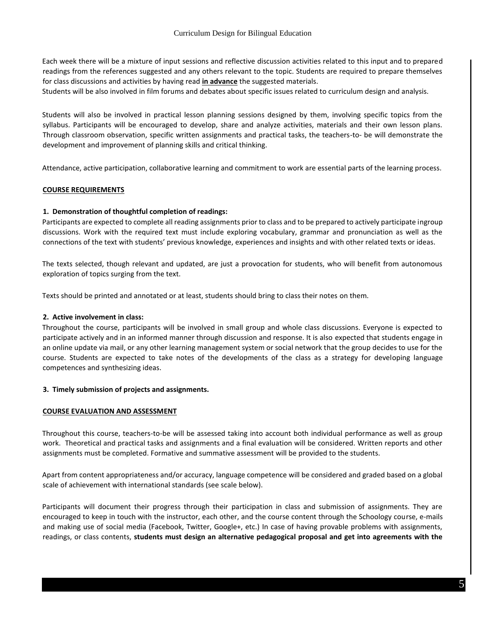Each week there will be a mixture of input sessions and reflective discussion activities related to this input and to prepared readings from the references suggested and any others relevant to the topic. Students are required to prepare themselves for class discussions and activities by having read **in advance** the suggested materials.

Students will be also involved in film forums and debates about specific issues related to curriculum design and analysis.

Students will also be involved in practical lesson planning sessions designed by them, involving specific topics from the syllabus. Participants will be encouraged to develop, share and analyze activities, materials and their own lesson plans. Through classroom observation, specific written assignments and practical tasks, the teachers-to- be will demonstrate the development and improvement of planning skills and critical thinking.

Attendance, active participation, collaborative learning and commitment to work are essential parts of the learning process.

# **COURSE REQUIREMENTS**

# **1. Demonstration of thoughtful completion of readings:**

Participants are expected to complete all reading assignments prior to class and to be prepared to actively participate ingroup discussions. Work with the required text must include exploring vocabulary, grammar and pronunciation as well as the connections of the text with students' previous knowledge, experiences and insights and with other related texts or ideas.

The texts selected, though relevant and updated, are just a provocation for students, who will benefit from autonomous exploration of topics surging from the text.

Texts should be printed and annotated or at least, students should bring to class their notes on them.

## **2. Active involvement in class:**

Throughout the course, participants will be involved in small group and whole class discussions. Everyone is expected to participate actively and in an informed manner through discussion and response. It is also expected that students engage in an online update via mail, or any other learning management system or social network that the group decides to use for the course. Students are expected to take notes of the developments of the class as a strategy for developing language competences and synthesizing ideas.

## **3. Timely submission of projects and assignments.**

## **COURSE EVALUATION AND ASSESSMENT**

Throughout this course, teachers-to-be will be assessed taking into account both individual performance as well as group work. Theoretical and practical tasks and assignments and a final evaluation will be considered. Written reports and other assignments must be completed. Formative and summative assessment will be provided to the students.

Apart from content appropriateness and/or accuracy, language competence will be considered and graded based on a global scale of achievement with international standards (see scale below).

Participants will document their progress through their participation in class and submission of assignments. They are encouraged to keep in touch with the instructor, each other, and the course content through the Schoology course, e-mails and making use of social media (Facebook, Twitter, Google+, etc.) In case of having provable problems with assignments, readings, or class contents, **students must design an alternative pedagogical proposal and get into agreements with the**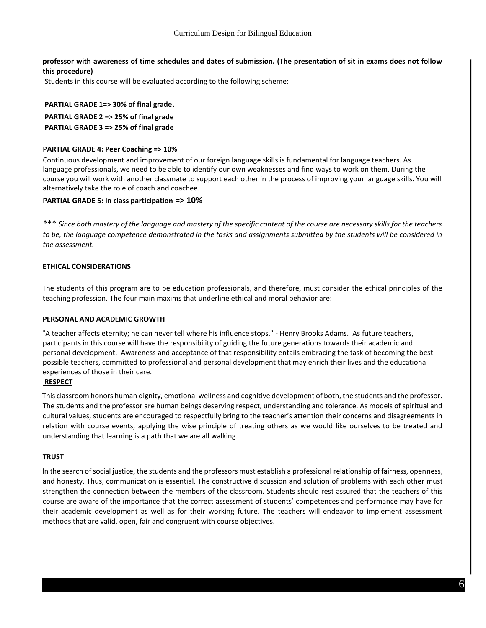# **professor with awareness of time schedules and dates of submission. (The presentation of sit in exams does not follow this procedure)**

Students in this course will be evaluated according to the following scheme:

# **PARTIAL GRADE 1=> 30% of final grade.**

**PARTIAL GRADE 2 => 25% of final grade PARTIAL GRADE 3 => 25% of final grade**

# **PARTIAL GRADE 4: Peer Coaching => 10%**

Continuous development and improvement of our foreign language skills is fundamental for language teachers. As language professionals, we need to be able to identify our own weaknesses and find ways to work on them. During the course you will work with another classmate to support each other in the process of improving your language skills. You will alternatively take the role of coach and coachee.

# **PARTIAL GRADE 5: In class participation => 10%**

\*\*\* *Since both mastery of the language and mastery of the specific content of the course are necessary skills for the teachers to be, the language competence demonstrated in the tasks and assignments submitted by the students will be considered in the assessment.* 

# **ETHICAL CONSIDERATIONS**

The students of this program are to be education professionals, and therefore, must consider the ethical principles of the teaching profession. The four main maxims that underline ethical and moral behavior are:

## **PERSONAL AND ACADEMIC GROWTH**

"A teacher affects eternity; he can never tell where his influence stops." - Henry Brooks Adams. As future teachers, participants in this course will have the responsibility of guiding the future generations towards their academic and personal development. Awareness and acceptance of that responsibility entails embracing the task of becoming the best possible teachers, committed to professional and personal development that may enrich their lives and the educational experiences of those in their care.

## **RESPECT**

This classroom honors human dignity, emotional wellness and cognitive development of both, the students and the professor. The students and the professor are human beings deserving respect, understanding and tolerance. As models of spiritual and cultural values, students are encouraged to respectfully bring to the teacher's attention their concerns and disagreements in relation with course events, applying the wise principle of treating others as we would like ourselves to be treated and understanding that learning is a path that we are all walking.

## **TRUST**

In the search of social justice, the students and the professors must establish a professional relationship of fairness, openness, and honesty. Thus, communication is essential. The constructive discussion and solution of problems with each other must strengthen the connection between the members of the classroom. Students should rest assured that the teachers of this course are aware of the importance that the correct assessment of students' competences and performance may have for their academic development as well as for their working future. The teachers will endeavor to implement assessment methods that are valid, open, fair and congruent with course objectives.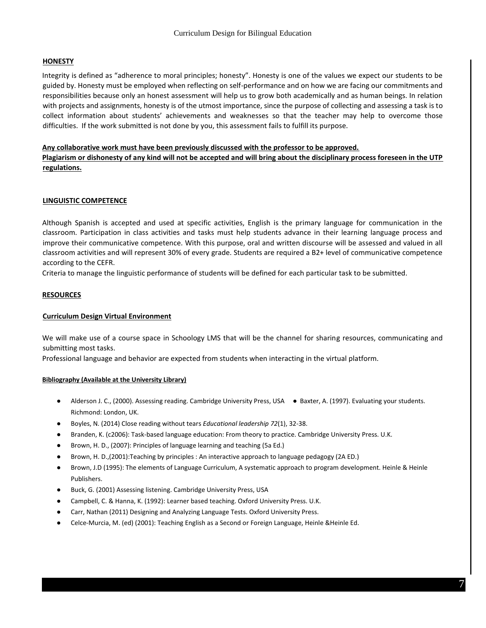### **HONESTY**

Integrity is defined as "adherence to moral principles; honesty". Honesty is one of the values we expect our students to be guided by. Honesty must be employed when reflecting on self-performance and on how we are facing our commitments and responsibilities because only an honest assessment will help us to grow both academically and as human beings. In relation with projects and assignments, honesty is of the utmost importance, since the purpose of collecting and assessing a task is to collect information about students' achievements and weaknesses so that the teacher may help to overcome those difficulties. If the work submitted is not done by you, this assessment fails to fulfill its purpose.

#### **Any collaborative work must have been previously discussed with the professor to be approved.**

**Plagiarism or dishonesty of any kind will not be accepted and will bring about the disciplinary process foreseen in the UTP regulations.**

## **LINGUISTIC COMPETENCE**

Although Spanish is accepted and used at specific activities, English is the primary language for communication in the classroom. Participation in class activities and tasks must help students advance in their learning language process and improve their communicative competence. With this purpose, oral and written discourse will be assessed and valued in all classroom activities and will represent 30% of every grade. Students are required a B2+ level of communicative competence according to the CEFR.

Criteria to manage the linguistic performance of students will be defined for each particular task to be submitted.

#### **RESOURCES**

#### **Curriculum Design Virtual Environment**

We will make use of a course space in Schoology LMS that will be the channel for sharing resources, communicating and submitting most tasks.

Professional language and behavior are expected from students when interacting in the virtual platform.

#### **Bibliography (Available at the University Library)**

- Alderson J. C., (2000). Assessing reading. Cambridge University Press, USA Baxter, A. (1997). Evaluating your students. Richmond: London, UK.
- Boyles, N. (2014) Close reading without tears *Educational leadership 72*(1), 32-38.
- Branden, K. (c2006): Task-based language education: From theory to practice. Cambridge University Press. U.K.
- Brown, H. D., (2007): Principles of language learning and teaching (5a Ed.)
- Brown, H. D.,(2001):Teaching by principles : An interactive approach to language pedagogy (2A ED.)
- Brown, J.D (1995): The elements of Language Curriculum, A systematic approach to program development. Heinle & Heinle Publishers.
- Buck, G. (2001) Assessing listening. Cambridge University Press, USA
- Campbell, C. & Hanna, K. (1992): Learner based teaching. Oxford University Press. U.K.
- Carr, Nathan (2011) Designing and Analyzing Language Tests. Oxford University Press.
- Celce-Murcia, M. (ed) (2001): Teaching English as a Second or Foreign Language, Heinle &Heinle Ed.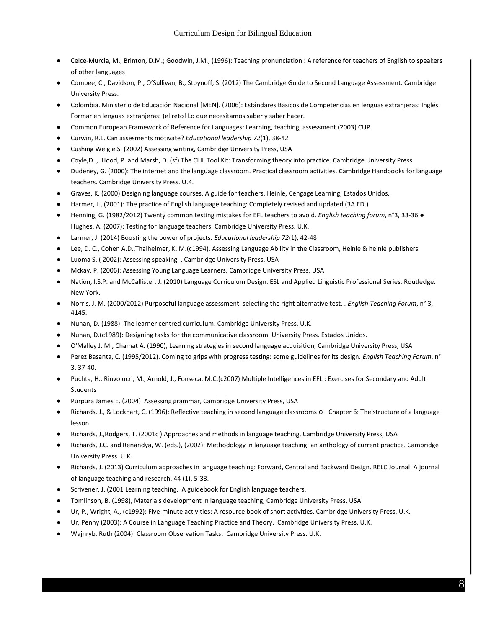- Celce-Murcia, M., Brinton, D.M.; Goodwin, J.M., (1996): Teaching pronunciation : A reference for teachers of English to speakers of other languages
- Combee, C., Davidson, P., O'Sullivan, B., Stoynoff, S. (2012) The Cambridge Guide to Second Language Assessment. Cambridge University Press.
- Colombia. Ministerio de Educación Nacional [MEN]. (2006): Estándares Básicos de Competencias en lenguas extranjeras: Inglés. Formar en lenguas extranjeras: ¡el reto! Lo que necesitamos saber y saber hacer.
- Common European Framework of Reference for Languages: Learning, teaching, assessment (2003) CUP.
- Curwin, R.L. Can assesments motivate? *Educational leadership 72*(1), 38-42
- Cushing Weigle, S. (2002) Assessing writing, Cambridge University Press, USA
- Coyle,D., Hood, P. and Marsh, D. (sf) The CLIL Tool Kit: Transforming theory into practice. Cambridge University Press
- Dudeney, G. (2000): The internet and the language classroom. Practical classroom activities. Cambridge Handbooks for language teachers. Cambridge University Press. U.K.
- Graves, K. (2000) Designing language courses. A guide for teachers. Heinle, Cengage Learning, Estados Unidos.
- Harmer, J., (2001): The practice of English language teaching: Completely revised and updated (3A ED.)
- Henning, G. (1982/2012) Twenty common testing mistakes for EFL teachers to avoid. *English teaching forum*, n°3, 33-36 Hughes, A. (2007): Testing for language teachers. Cambridge University Press. U.K.
- Larmer, J. (2014) Boosting the power of projects. *Educational leadership 72*(1), 42-48
- Lee, D. C., Cohen A.D.,Thalheimer, K. M.(c1994), Assessing Language Ability in the Classroom, Heinle & heinle publishers
- Luoma S. (2002): Assessing speaking, Cambridge University Press, USA
- Mckay, P. (2006): Assessing Young Language Learners, Cambridge University Press, USA
- Nation, I.S.P. and McCallister, J. (2010) Language Curriculum Design. ESL and Applied Linguistic Professional Series. Routledge. New York.
- Norris, J. M. (2000/2012) Purposeful language assessment: selecting the right alternative test. . *English Teaching Forum*, n° 3, 4145.
- Nunan, D. (1988): The learner centred curriculum. Cambridge University Press. U.K.
- Nunan, D.(c1989): Designing tasks for the communicative classroom. University Press. Estados Unidos.
- O'Malley J. M., Chamat A. (1990), Learning strategies in second language acquisition, Cambridge University Press, USA
- Perez Basanta, C. (1995/2012). Coming to grips with progress testing: some guidelines for its design. *English Teaching Forum*, n° 3, 37-40.
- Puchta, H., Rinvolucri, M., Arnold, J., Fonseca, M.C.(c2007) Multiple Intelligences in EFL : Exercises for Secondary and Adult Students
- Purpura James E. (2004) Assessing grammar, Cambridge University Press, USA
- Richards, J., & Lockhart, C. (1996): Reflective teaching in second language classrooms o Chapter 6: The structure of a language lesson
- Richards, J.,Rodgers, T. (2001c ) Approaches and methods in language teaching, Cambridge University Press, USA
- Richards, J.C. and Renandya, W. (eds.), (2002): Methodology in language teaching: an anthology of current practice. Cambridge University Press. U.K.
- Richards, J. (2013) Curriculum approaches in language teaching: Forward, Central and Backward Design. RELC Journal: A journal of language teaching and research, 44 (1), 5-33.
- Scrivener, J. (2001 Learning teaching. A guidebook for English language teachers.
- Tomlinson, B. (1998), Materials development in language teaching, Cambridge University Press, USA
- Ur, P., Wright, A., (c1992): Five-minute activities: A resource book of short activities. Cambridge University Press. U.K.
- Ur, Penny (2003): A Course in Language Teaching Practice and Theory. Cambridge University Press. U.K.
- Wajnryb, Ruth (2004): Classroom Observation Tasks**.** Cambridge University Press. U.K.